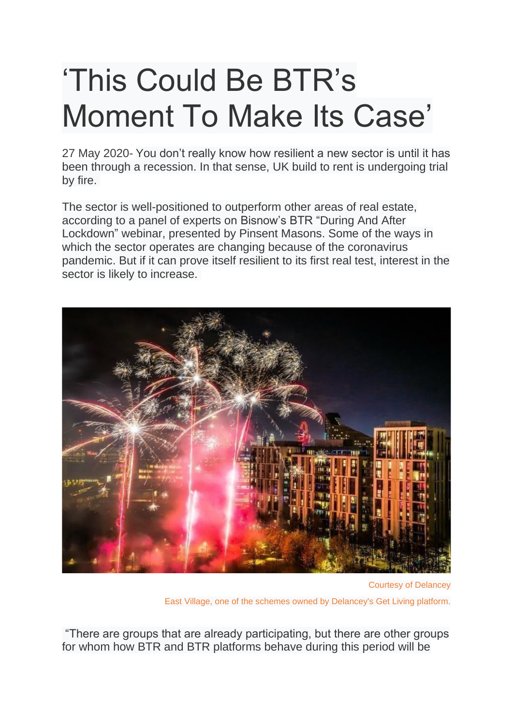## 'This Could Be BTR's Moment To Make Its Case'

27 May 2020- You don't really know how resilient a new sector is until it has been through a recession. In that sense, UK build to rent is undergoing trial by fire.

The sector is well-positioned to outperform other areas of real estate, according to a panel of experts on Bisnow's BTR "During And After Lockdown" webinar, presented by Pinsent Masons. Some of the ways in which the sector operates are changing because of the coronavirus pandemic. But if it can prove itself resilient to its first real test, interest in the sector is likely to increase.



Courtesy of Delancey East Village, one of the schemes owned by Delancey's Get Living platform.

"There are groups that are already participating, but there are other groups for whom how BTR and BTR platforms behave during this period will be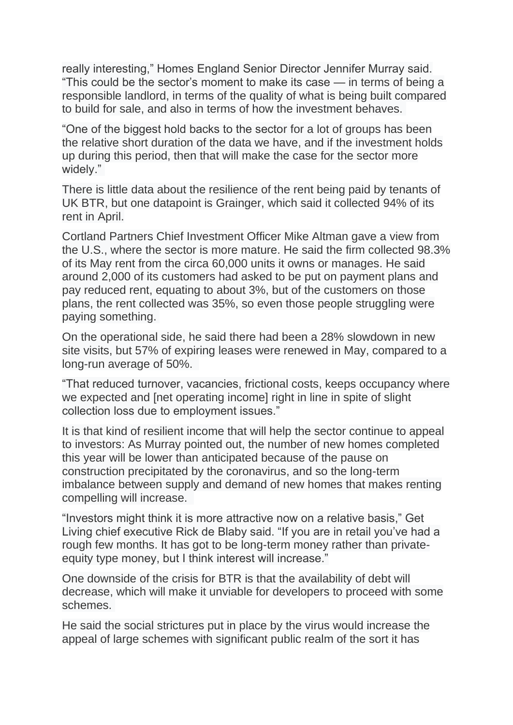really interesting," Homes England Senior Director Jennifer Murray said. "This could be the sector's moment to make its case — in terms of being a responsible landlord, in terms of the quality of what is being built compared to build for sale, and also in terms of how the investment behaves.

"One of the biggest hold backs to the sector for a lot of groups has been the relative short duration of the data we have, and if the investment holds up during this period, then that will make the case for the sector more widely."

There is little data about the resilience of the rent being paid by tenants of UK BTR, but one datapoint is Grainger, which said it collected 94% of its rent in April.

Cortland Partners Chief Investment Officer Mike Altman gave a view from the U.S., where the sector is more mature. He said the firm collected 98.3% of its May rent from the circa 60,000 units it owns or manages. He said around 2,000 of its customers had asked to be put on payment plans and pay reduced rent, equating to about 3%, but of the customers on those plans, the rent collected was 35%, so even those people struggling were paying something.

On the operational side, he said there had been a 28% slowdown in new site visits, but 57% of expiring leases were renewed in May, compared to a long-run average of 50%.

"That reduced turnover, vacancies, frictional costs, keeps occupancy where we expected and [net operating income] right in line in spite of slight collection loss due to employment issues."

It is that kind of resilient income that will help the sector continue to appeal to investors: As Murray pointed out, the number of new homes completed this year will be lower than anticipated because of the pause on construction precipitated by the coronavirus, and so the long-term imbalance between supply and demand of new homes that makes renting compelling will increase.

"Investors might think it is more attractive now on a relative basis," Get Living chief executive Rick de Blaby said. "If you are in retail you've had a rough few months. It has got to be long-term money rather than privateequity type money, but I think interest will increase."

One downside of the crisis for BTR is that the availability of debt will decrease, which will make it unviable for developers to proceed with some schemes.

He said the social strictures put in place by the virus would increase the appeal of large schemes with significant public realm of the sort it has